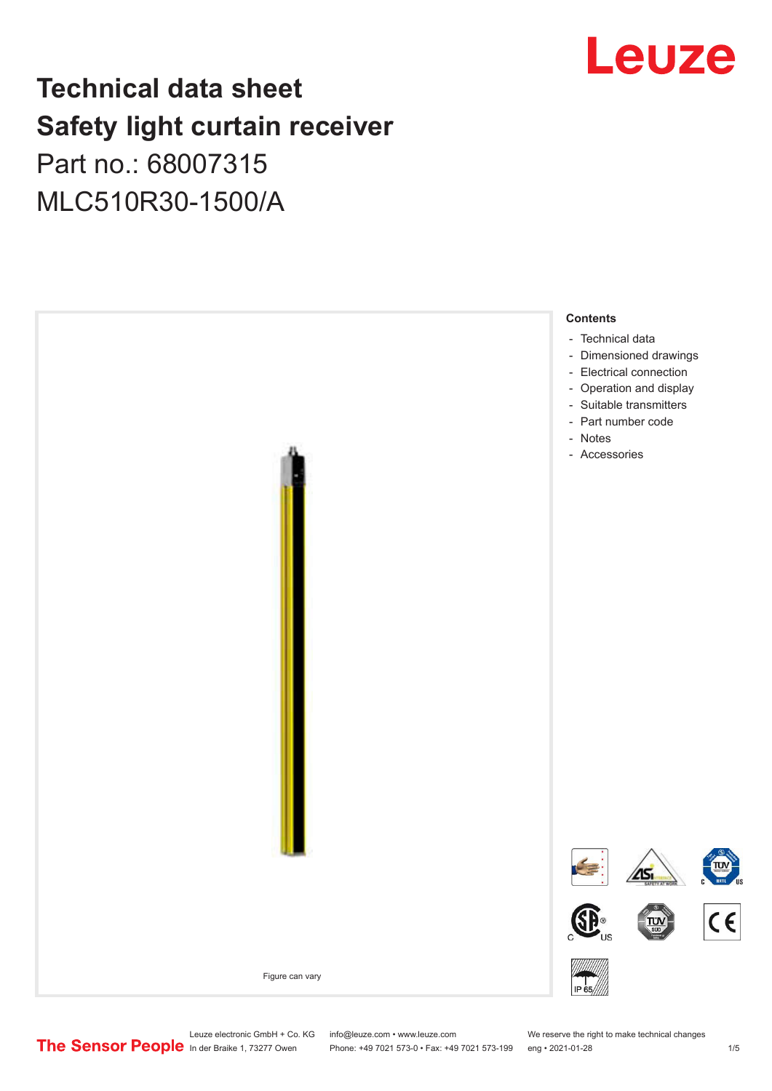## Leuze

## **Technical data sheet Safety light curtain receiver** Part no.: 68007315

MLC510R30-1500/A



Leuze electronic GmbH + Co. KG info@leuze.com • www.leuze.com We reserve the right to make technical changes<br>
The Sensor People in der Braike 1, 73277 Owen Phone: +49 7021 573-0 • Fax: +49 7021 573-199 eng • 2021-01-28

Phone: +49 7021 573-0 • Fax: +49 7021 573-199 eng • 2021-01-28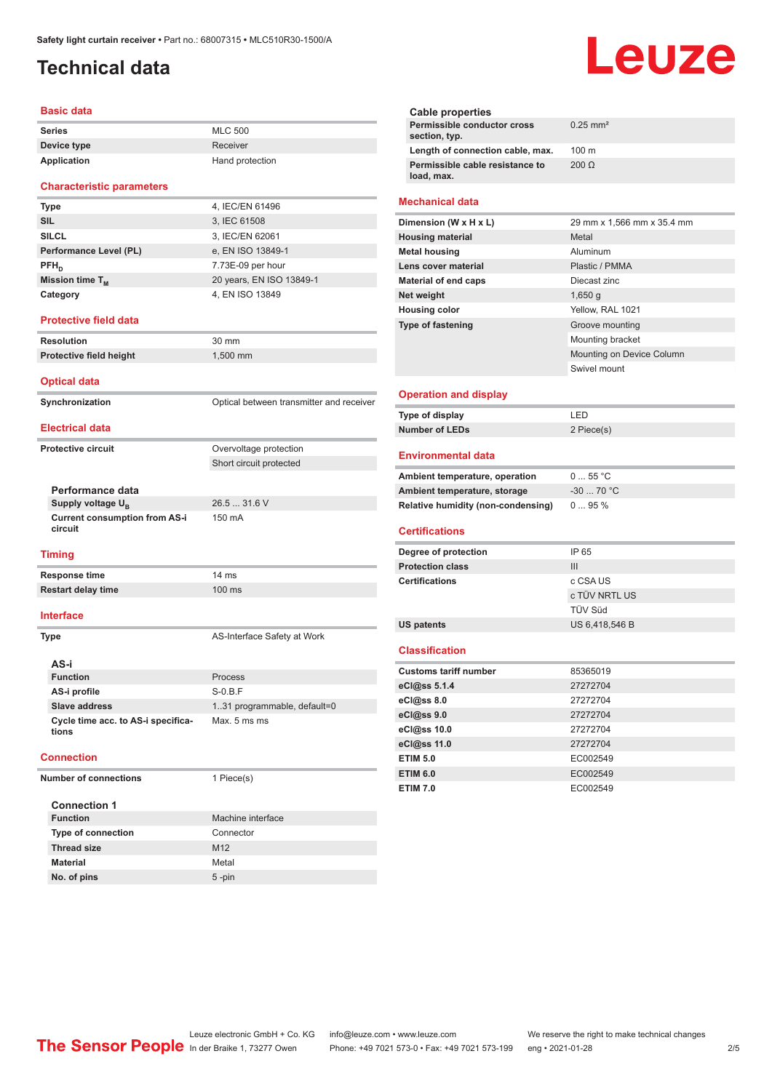## <span id="page-1-0"></span>**Technical data**

#### **Basic data**

| Series      | <b>MLC 500</b>  |
|-------------|-----------------|
| Device type | Receiver        |
| Application | Hand protection |

#### **Characteristic parameters**

| <b>Type</b>            | 4, IEC/EN 61496          |
|------------------------|--------------------------|
| <b>SIL</b>             | 3, IEC 61508             |
| <b>SILCL</b>           | 3, IEC/EN 62061          |
| Performance Level (PL) | e, EN ISO 13849-1        |
| $PFH_{n}$              | 7.73E-09 per hour        |
| Mission time $T_M$     | 20 years, EN ISO 13849-1 |
| Category               | 4, EN ISO 13849          |

#### **Protective field data**

**Resolution** 30 mm **Protective field height** 1,500 mm

**Optical data**

**Synchronization Synchronization** Optical between transmitter and receiver **Electrical data**

Short circuit protected

#### **Protective circuit COVER COVER COVER COVER COVER COVER COVER COVER COVER COVER COVER COVER COVER COVER COVER**

**Performance data Supply voltage U<sub>B</sub> Current consumption from AS-i** 

26.5 ... 31.6 V

150 mA

#### **Timing**

**circuit**

**Response time** 14 ms **Restart delay time** 100 ms

#### **Interface**

**Type AS-Interface Safety at Work AS-i Function** Process **AS-i profile** S-0.B.F **Slave address** 1..31 programmable, default=0 **Cycle time acc. to AS-i specifications** Max. 5 ms ms

#### **Connection**

**Number of connections** 1 Piece(s)

| <b>Connection 1</b>       |                   |
|---------------------------|-------------------|
| <b>Function</b>           | Machine interface |
| <b>Type of connection</b> | Connector         |
| <b>Thread size</b>        | M <sub>12</sub>   |
| <b>Material</b>           | Metal             |
| No. of pins               | $5 - pin$         |

# Leuze

|                                               | <b>Cable properties</b>                      |                            |  |
|-----------------------------------------------|----------------------------------------------|----------------------------|--|
|                                               | Permissible conductor cross<br>section, typ. | $0.25$ mm <sup>2</sup>     |  |
|                                               | Length of connection cable, max.             | 100 <sub>m</sub>           |  |
| Permissible cable resistance to<br>load, max. |                                              | $200 \Omega$               |  |
|                                               | <b>Mechanical data</b>                       |                            |  |
|                                               |                                              |                            |  |
|                                               | Dimension (W x H x L)                        | 29 mm x 1,566 mm x 35.4 mm |  |
|                                               | <b>Housing material</b>                      | Metal                      |  |
|                                               | <b>Metal housing</b>                         | Aluminum                   |  |
|                                               | Lens cover material                          | Plastic / PMMA             |  |
|                                               | Material of end caps                         | Diecast zinc               |  |
|                                               | Net weight                                   | $1,650$ g                  |  |
|                                               | <b>Housing color</b>                         | Yellow, RAL 1021           |  |

Mounting bracket

Swivel mount

Mounting on Device Column

#### **Operation and display**

| Type of display | I FD.      |
|-----------------|------------|
| Number of LEDs  | 2 Piece(s) |

#### **Environmental data**

| Ambient temperature, operation     | $055$ °C   |
|------------------------------------|------------|
| Ambient temperature, storage       | $-3070 °C$ |
| Relative humidity (non-condensing) | $095\%$    |

#### **Certifications**

| Degree of protection    | IP 65          |
|-------------------------|----------------|
| <b>Protection class</b> | Ш              |
| <b>Certifications</b>   | c CSA US       |
|                         | c TÜV NRTL US  |
|                         | TÜV Süd        |
| <b>US patents</b>       | US 6,418,546 B |

#### **Classification**

| <b>Customs tariff number</b> | 85365019 |
|------------------------------|----------|
| eCl@ss 5.1.4                 | 27272704 |
| eCl@ss 8.0                   | 27272704 |
| eCl@ss 9.0                   | 27272704 |
| eCl@ss 10.0                  | 27272704 |
| eCl@ss 11.0                  | 27272704 |
| <b>ETIM 5.0</b>              | EC002549 |
| <b>ETIM 6.0</b>              | EC002549 |
| <b>ETIM 7.0</b>              | EC002549 |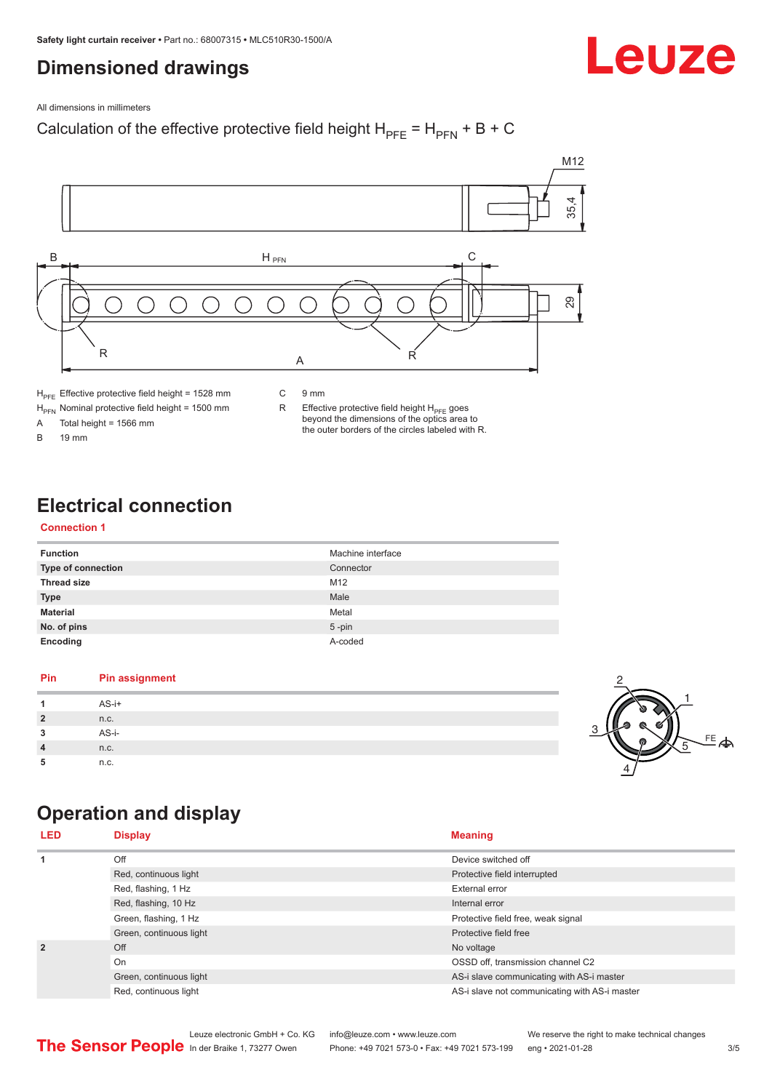## <span id="page-2-0"></span>**Dimensioned drawings**

Leuze

All dimensions in millimeters

## Calculation of the effective protective field height  $H_{PFE} = H_{PFN} + B + C$



 $H<sub>PE</sub>$  Effective protective field height = 1528 mm

 $H_{\text{PFN}}$  Nominal protective field height = 1500 mm<br>A Total height = 1566 mm

Total height =  $1566$  mm

B 19 mm

R Effective protective field height  $H_{PFE}$  goes beyond the dimensions of the optics area to the outer borders of the circles labeled with R.

## **Electrical connection**

### **Connection 1**

| <b>Function</b>           | Machine interface |
|---------------------------|-------------------|
| <b>Type of connection</b> | Connector         |
| <b>Thread size</b>        | M <sub>12</sub>   |
| <b>Type</b>               | Male              |
| <b>Material</b>           | Metal             |
| No. of pins               | $5$ -pin          |
| Encoding                  | A-coded           |

### **Pin Pin assignment 1** AS-i+ **2** n.c. **3** AS-i-**4** n.c. **5** n.c.



## **Operation and display**

| <b>LED</b>     | <b>Display</b>          | <b>Meaning</b>                                |
|----------------|-------------------------|-----------------------------------------------|
| 1              | Off                     | Device switched off                           |
|                | Red, continuous light   | Protective field interrupted                  |
|                | Red, flashing, 1 Hz     | <b>External error</b>                         |
|                | Red, flashing, 10 Hz    | Internal error                                |
|                | Green, flashing, 1 Hz   | Protective field free, weak signal            |
|                | Green, continuous light | Protective field free                         |
| $\overline{2}$ | Off                     | No voltage                                    |
|                | On                      | OSSD off, transmission channel C2             |
|                | Green, continuous light | AS-i slave communicating with AS-i master     |
|                | Red, continuous light   | AS-i slave not communicating with AS-i master |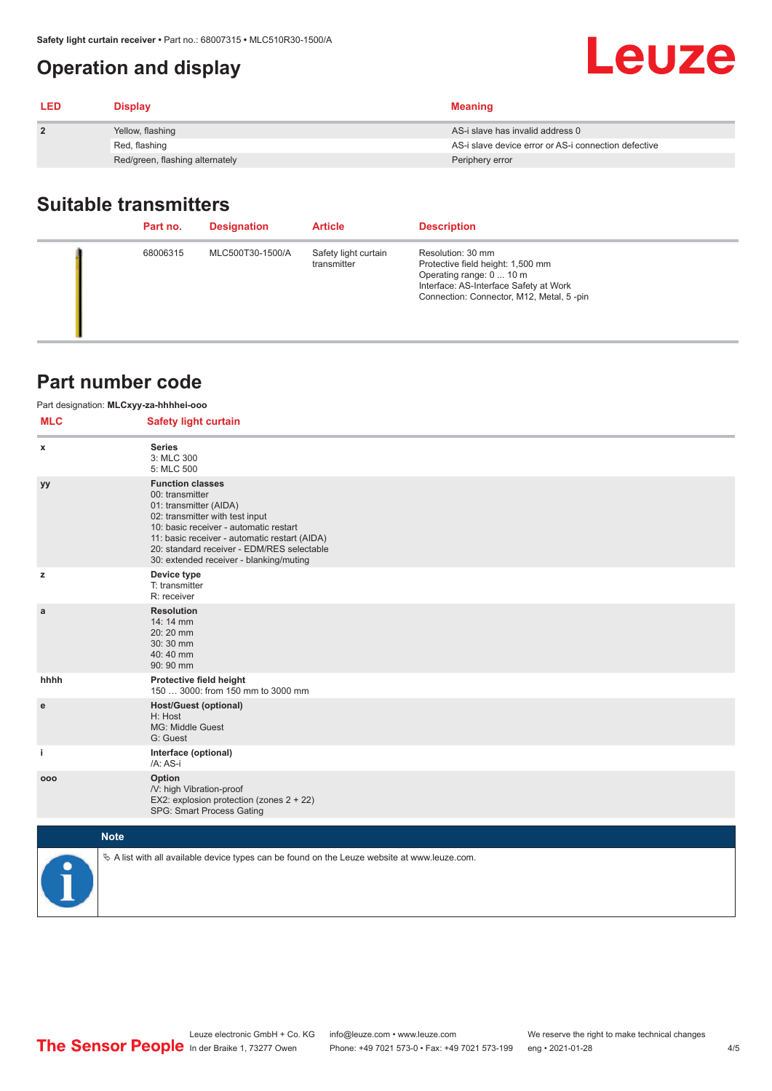## <span id="page-3-0"></span>**Operation and display**

| <b>LED</b>     | <b>Display</b>                  | <b>Meaning</b>                                       |
|----------------|---------------------------------|------------------------------------------------------|
| $\overline{2}$ | Yellow, flashing                | AS-i slave has invalid address 0                     |
|                | Red, flashing                   | AS-i slave device error or AS-i connection defective |
|                | Red/green, flashing alternately | Periphery error                                      |

## **Suitable transmitters**

| Part no. | <b>Designation</b> | <b>Article</b>                      | <b>Description</b>                                                                                                                                                       |
|----------|--------------------|-------------------------------------|--------------------------------------------------------------------------------------------------------------------------------------------------------------------------|
| 68006315 | MLC500T30-1500/A   | Safety light curtain<br>transmitter | Resolution: 30 mm<br>Protective field height: 1,500 mm<br>Operating range: 0  10 m<br>Interface: AS-Interface Safety at Work<br>Connection: Connector, M12, Metal, 5-pin |

## **Part number code**

| Part designation: MLCxyy-za-hhhhei-ooo |                                                                                                                                                                                                                                                                                             |  |  |  |  |
|----------------------------------------|---------------------------------------------------------------------------------------------------------------------------------------------------------------------------------------------------------------------------------------------------------------------------------------------|--|--|--|--|
| <b>MLC</b>                             | <b>Safety light curtain</b>                                                                                                                                                                                                                                                                 |  |  |  |  |
| x                                      | <b>Series</b><br>3: MLC 300<br>5: MLC 500                                                                                                                                                                                                                                                   |  |  |  |  |
| уy                                     | <b>Function classes</b><br>00: transmitter<br>01: transmitter (AIDA)<br>02: transmitter with test input<br>10: basic receiver - automatic restart<br>11: basic receiver - automatic restart (AIDA)<br>20: standard receiver - EDM/RES selectable<br>30: extended receiver - blanking/muting |  |  |  |  |
| z                                      | Device type<br>T: transmitter<br>R: receiver                                                                                                                                                                                                                                                |  |  |  |  |
| a                                      | <b>Resolution</b><br>14: 14 mm<br>20:20 mm<br>30:30 mm<br>40:40 mm<br>90: 90 mm                                                                                                                                                                                                             |  |  |  |  |
| hhhh                                   | Protective field height<br>150  3000: from 150 mm to 3000 mm                                                                                                                                                                                                                                |  |  |  |  |
| e                                      | <b>Host/Guest (optional)</b><br>H: Host<br>MG: Middle Guest<br>G: Guest                                                                                                                                                                                                                     |  |  |  |  |
| j.                                     | Interface (optional)<br>/A: AS-i                                                                                                                                                                                                                                                            |  |  |  |  |
| 000                                    | Option<br>/V: high Vibration-proof<br>EX2: explosion protection (zones 2 + 22)<br>SPG: Smart Process Gating                                                                                                                                                                                 |  |  |  |  |
|                                        | <b>Note</b>                                                                                                                                                                                                                                                                                 |  |  |  |  |
|                                        | $\&$ A list with all available device types can be found on the Leuze website at www.leuze.com.                                                                                                                                                                                             |  |  |  |  |

Leuze